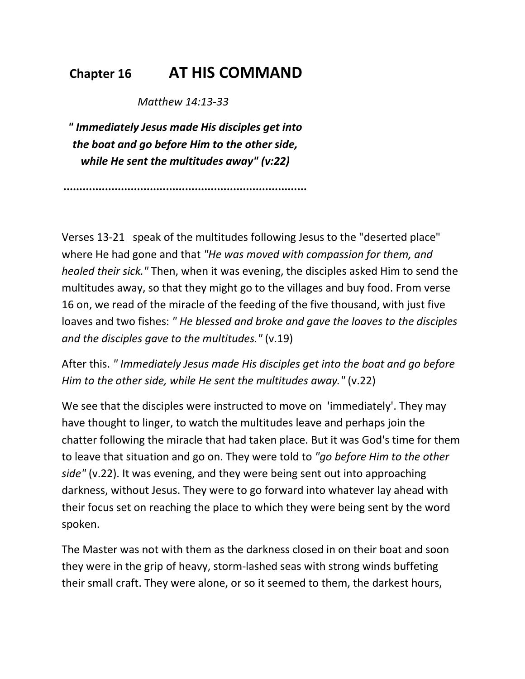## **Chapter 16 AT HIS COMMAND**

 *Matthew 14:13-33* 

*" Immediately Jesus made His disciples get into the boat and go before Him to the other side, while He sent the multitudes away" (v:22)* 

**............................................................................** 

Verses 13-21 speak of the multitudes following Jesus to the "deserted place" where He had gone and that *"He was moved with compassion for them, and healed their sick."* Then, when it was evening, the disciples asked Him to send the multitudes away, so that they might go to the villages and buy food. From verse 16 on, we read of the miracle of the feeding of the five thousand, with just five loaves and two fishes: *" He blessed and broke and gave the loaves to the disciples and the disciples gave to the multitudes."* (v.19)

After this. *" Immediately Jesus made His disciples get into the boat and go before Him to the other side, while He sent the multitudes away."* (v.22)

We see that the disciples were instructed to move on 'immediately'. They may have thought to linger, to watch the multitudes leave and perhaps join the chatter following the miracle that had taken place. But it was God's time for them to leave that situation and go on. They were told to *"go before Him to the other side"* (v.22). It was evening, and they were being sent out into approaching darkness, without Jesus. They were to go forward into whatever lay ahead with their focus set on reaching the place to which they were being sent by the word spoken.

The Master was not with them as the darkness closed in on their boat and soon they were in the grip of heavy, storm-lashed seas with strong winds buffeting their small craft. They were alone, or so it seemed to them, the darkest hours,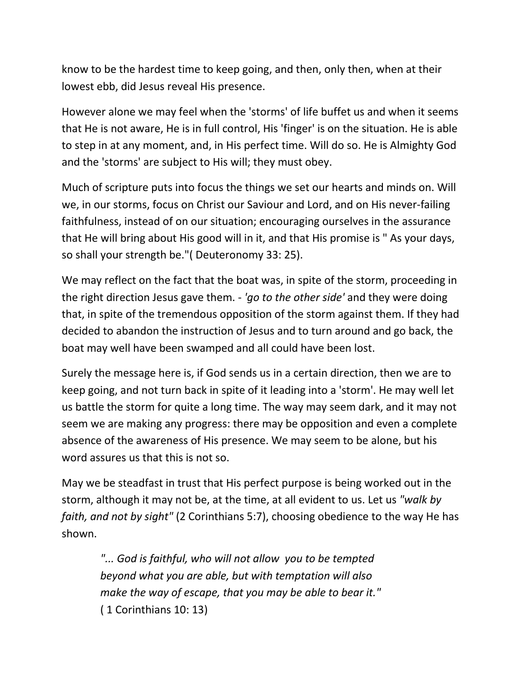know to be the hardest time to keep going, and then, only then, when at their lowest ebb, did Jesus reveal His presence.

However alone we may feel when the 'storms' of life buffet us and when it seems that He is not aware, He is in full control, His 'finger' is on the situation. He is able to step in at any moment, and, in His perfect time. Will do so. He is Almighty God and the 'storms' are subject to His will; they must obey.

Much of scripture puts into focus the things we set our hearts and minds on. Will we, in our storms, focus on Christ our Saviour and Lord, and on His never-failing faithfulness, instead of on our situation; encouraging ourselves in the assurance that He will bring about His good will in it, and that His promise is " As your days, so shall your strength be."( Deuteronomy 33: 25).

We may reflect on the fact that the boat was, in spite of the storm, proceeding in the right direction Jesus gave them. - *'go to the other side'* and they were doing that, in spite of the tremendous opposition of the storm against them. If they had decided to abandon the instruction of Jesus and to turn around and go back, the boat may well have been swamped and all could have been lost.

Surely the message here is, if God sends us in a certain direction, then we are to keep going, and not turn back in spite of it leading into a 'storm'. He may well let us battle the storm for quite a long time. The way may seem dark, and it may not seem we are making any progress: there may be opposition and even a complete absence of the awareness of His presence. We may seem to be alone, but his word assures us that this is not so.

May we be steadfast in trust that His perfect purpose is being worked out in the storm, although it may not be, at the time, at all evident to us. Let us *"walk by faith, and not by sight"* (2 Corinthians 5:7), choosing obedience to the way He has shown.

*"... God is faithful, who will not allow you to be tempted beyond what you are able, but with temptation will also make the way of escape, that you may be able to bear it."* ( 1 Corinthians 10: 13)